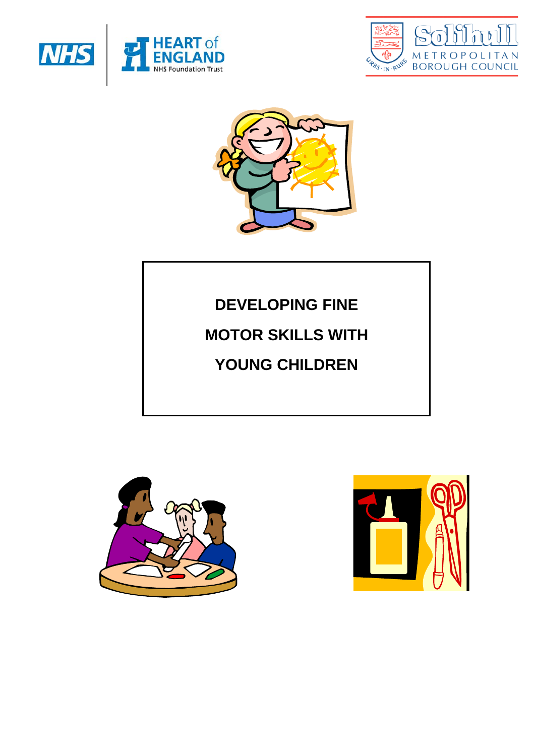





# **DEVELOPING FINE**

# **MOTOR SKILLS WITH**

# **YOUNG CHILDREN**



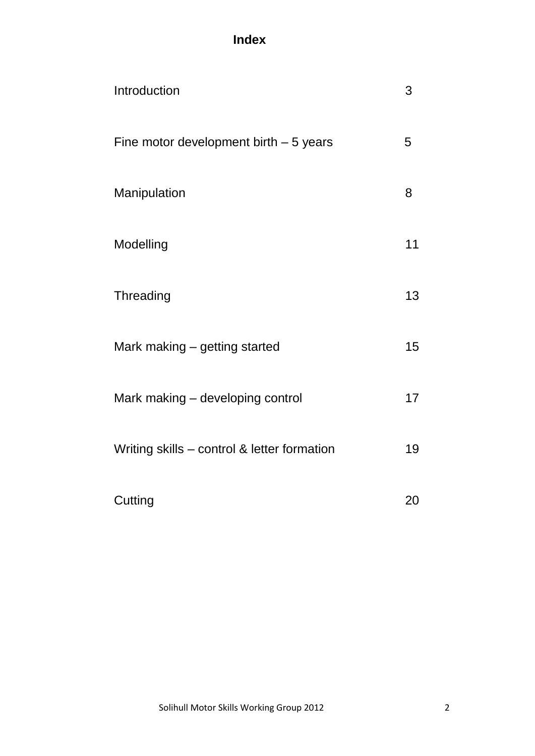# **Index**

| Introduction                                | 3  |
|---------------------------------------------|----|
| Fine motor development birth $-5$ years     | 5  |
| Manipulation                                | 8  |
| Modelling                                   | 11 |
| Threading                                   | 13 |
| Mark making – getting started               | 15 |
| Mark making - developing control            | 17 |
| Writing skills - control & letter formation | 19 |
| Cutting                                     | 20 |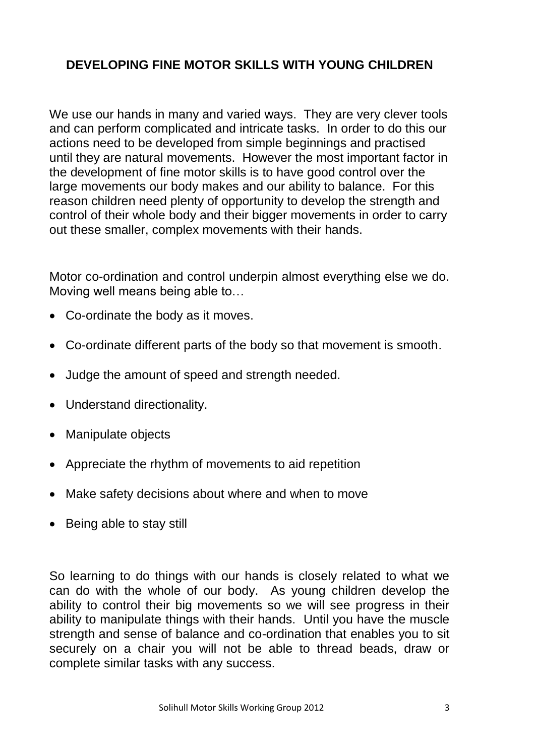#### **DEVELOPING FINE MOTOR SKILLS WITH YOUNG CHILDREN**

We use our hands in many and varied ways. They are very clever tools and can perform complicated and intricate tasks. In order to do this our actions need to be developed from simple beginnings and practised until they are natural movements. However the most important factor in the development of fine motor skills is to have good control over the large movements our body makes and our ability to balance. For this reason children need plenty of opportunity to develop the strength and control of their whole body and their bigger movements in order to carry out these smaller, complex movements with their hands.

Motor co-ordination and control underpin almost everything else we do. Moving well means being able to…

- Co-ordinate the body as it moves.
- Co-ordinate different parts of the body so that movement is smooth.
- Judge the amount of speed and strength needed.
- Understand directionality.
- Manipulate objects
- Appreciate the rhythm of movements to aid repetition
- Make safety decisions about where and when to move
- Being able to stay still

So learning to do things with our hands is closely related to what we can do with the whole of our body. As young children develop the ability to control their big movements so we will see progress in their ability to manipulate things with their hands. Until you have the muscle strength and sense of balance and co-ordination that enables you to sit securely on a chair you will not be able to thread beads, draw or complete similar tasks with any success.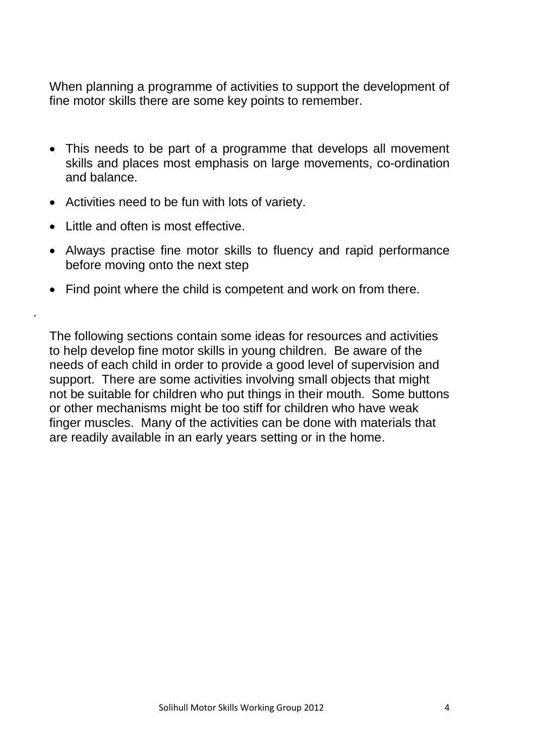When planning a programme of activities to support the development of fine motor skills there are some key points to remember.

- This needs to be part of a programme that develops all movement skills and places most emphasis on large movements, co-ordination and balance.
- Activities need to be fun with lots of variety.
- Little and often is most effective

.

- Always practise fine motor skills to fluency and rapid performance before moving onto the next step
- Find point where the child is competent and work on from there.

The following sections contain some ideas for resources and activities to help develop fine motor skills in young children. Be aware of the needs of each child in order to provide a good level of supervision and support. There are some activities involving small objects that might not be suitable for children who put things in their mouth. Some buttons or other mechanisms might be too stiff for children who have weak finger muscles. Many of the activities can be done with materials that are readily available in an early years setting or in the home.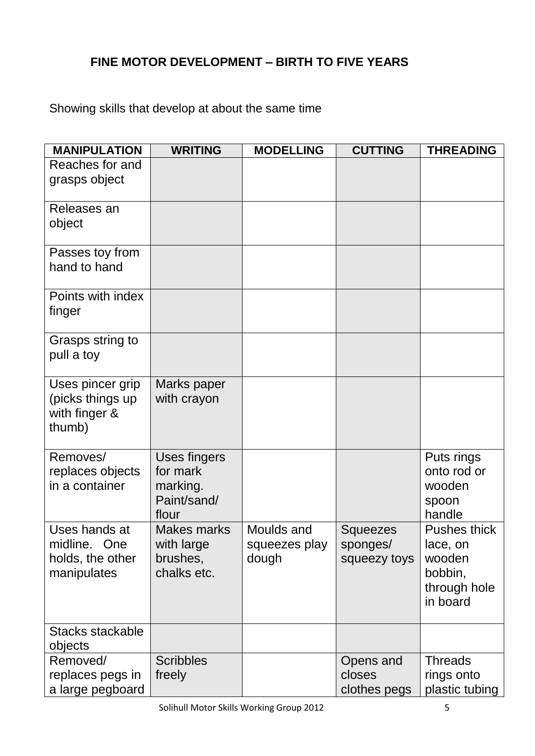#### **FINE MOTOR DEVELOPMENT – BIRTH TO FIVE YEARS**

Showing skills that develop at about the same time

| <b>MANIPULATION</b>                                              | <b>WRITING</b>                                                      | <b>MODELLING</b>                     | <b>CUTTING</b>                              | <b>THREADING</b>                                                          |
|------------------------------------------------------------------|---------------------------------------------------------------------|--------------------------------------|---------------------------------------------|---------------------------------------------------------------------------|
| Reaches for and<br>grasps object                                 |                                                                     |                                      |                                             |                                                                           |
| Releases an<br>object                                            |                                                                     |                                      |                                             |                                                                           |
| Passes toy from<br>hand to hand                                  |                                                                     |                                      |                                             |                                                                           |
| Points with index<br>finger                                      |                                                                     |                                      |                                             |                                                                           |
| Grasps string to<br>pull a toy                                   |                                                                     |                                      |                                             |                                                                           |
| Uses pincer grip<br>(picks things up<br>with finger &<br>thumb)  | Marks paper<br>with crayon                                          |                                      |                                             |                                                                           |
| Removes/<br>replaces objects<br>in a container                   | <b>Uses fingers</b><br>for mark<br>marking.<br>Paint/sand/<br>flour |                                      |                                             | Puts rings<br>onto rod or<br>wooden<br>spoon<br>handle                    |
| Uses hands at<br>midline. One<br>holds, the other<br>manipulates | <b>Makes marks</b><br>with large<br>brushes,<br>chalks etc.         | Moulds and<br>squeezes play<br>dough | <b>Squeezes</b><br>sponges/<br>squeezy toys | Pushes thick<br>lace, on<br>wooden<br>bobbin,<br>through hole<br>in board |
| Stacks stackable<br>objects                                      |                                                                     |                                      |                                             |                                                                           |
| Removed/<br>replaces pegs in<br>a large pegboard                 | <b>Scribbles</b><br>freely                                          |                                      | Opens and<br>closes<br>clothes pegs         | <b>Threads</b><br>rings onto<br>plastic tubing                            |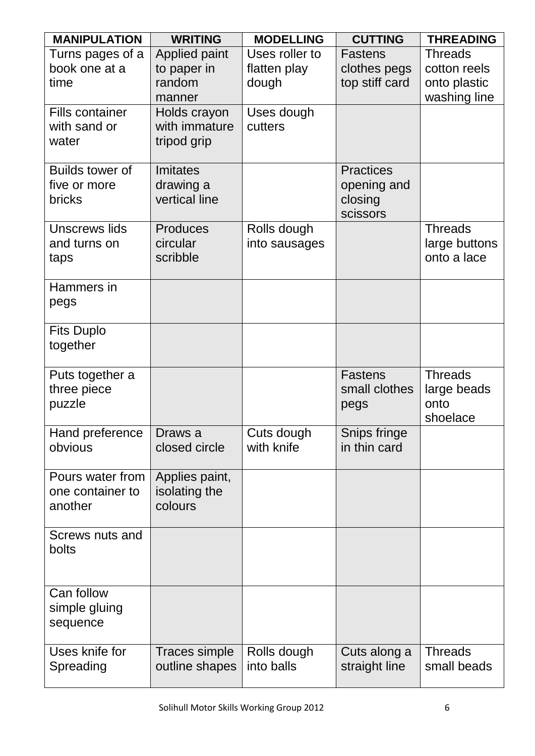| <b>MANIPULATION</b>                    | <b>WRITING</b>                | <b>MODELLING</b>         | <b>CUTTING</b>               | <b>THREADING</b>             |
|----------------------------------------|-------------------------------|--------------------------|------------------------------|------------------------------|
| Turns pages of a                       | Applied paint                 | Uses roller to           | <b>Fastens</b>               | <b>Threads</b>               |
| book one at a                          | to paper in                   | flatten play             | clothes pegs                 | cotton reels                 |
| time                                   | random                        | dough                    | top stiff card               | onto plastic                 |
|                                        | manner                        |                          |                              | washing line                 |
| <b>Fills container</b><br>with sand or | Holds crayon<br>with immature | Uses dough<br>cutters    |                              |                              |
| water                                  | tripod grip                   |                          |                              |                              |
|                                        |                               |                          |                              |                              |
| <b>Builds tower of</b>                 | Imitates                      |                          | <b>Practices</b>             |                              |
| five or more                           | drawing a                     |                          | opening and                  |                              |
| <b>bricks</b>                          | vertical line                 |                          | closing                      |                              |
|                                        |                               |                          | scissors                     |                              |
| Unscrews lids                          | <b>Produces</b>               | Rolls dough              |                              | <b>Threads</b>               |
| and turns on                           | circular<br>scribble          | into sausages            |                              | large buttons<br>onto a lace |
| taps                                   |                               |                          |                              |                              |
| Hammers in                             |                               |                          |                              |                              |
| pegs                                   |                               |                          |                              |                              |
|                                        |                               |                          |                              |                              |
| <b>Fits Duplo</b>                      |                               |                          |                              |                              |
| together                               |                               |                          |                              |                              |
| Puts together a                        |                               |                          | <b>Fastens</b>               | <b>Threads</b>               |
| three piece                            |                               |                          | small clothes                | large beads                  |
| puzzle                                 |                               |                          | pegs                         | onto                         |
|                                        |                               |                          |                              | shoelace                     |
| Hand preference   Draws a<br>obvious   | closed circle                 | Cuts dough<br>with knife | Snips fringe<br>in thin card |                              |
|                                        |                               |                          |                              |                              |
| Pours water from                       | Applies paint,                |                          |                              |                              |
| one container to                       | isolating the                 |                          |                              |                              |
| another                                | colours                       |                          |                              |                              |
| Screws nuts and                        |                               |                          |                              |                              |
| bolts                                  |                               |                          |                              |                              |
|                                        |                               |                          |                              |                              |
|                                        |                               |                          |                              |                              |
| Can follow                             |                               |                          |                              |                              |
| simple gluing                          |                               |                          |                              |                              |
| sequence                               |                               |                          |                              |                              |
| Uses knife for                         | Traces simple                 | Rolls dough              | Cuts along a                 | <b>Threads</b>               |
| Spreading                              | outline shapes                | into balls               | straight line                | small beads                  |
|                                        |                               |                          |                              |                              |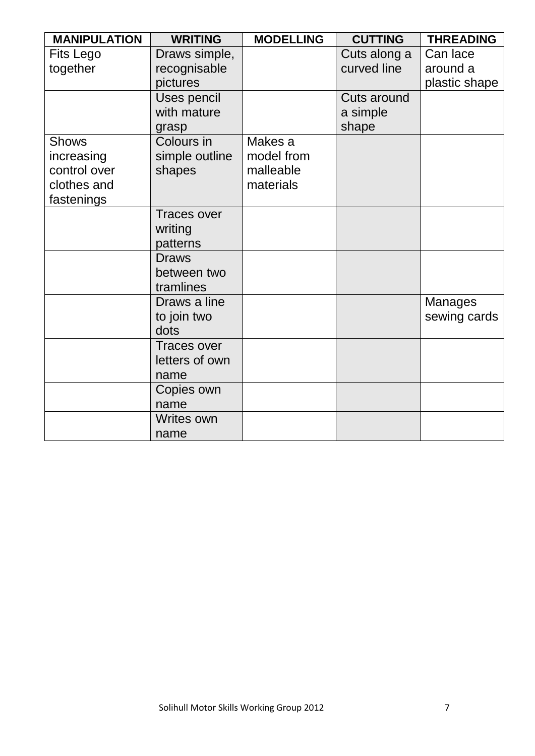| <b>MANIPULATION</b> | <b>WRITING</b>             | <b>MODELLING</b> | <b>CUTTING</b>    | <b>THREADING</b> |
|---------------------|----------------------------|------------------|-------------------|------------------|
| <b>Fits Lego</b>    | Draws simple,              |                  | Cuts along a      | Can lace         |
| together            | recognisable               |                  | curved line       | around a         |
|                     | pictures                   |                  |                   | plastic shape    |
|                     | Uses pencil<br>with mature |                  | Cuts around       |                  |
|                     | grasp                      |                  | a simple<br>shape |                  |
| <b>Shows</b>        | Colours in                 | Makes a          |                   |                  |
| increasing          | simple outline             | model from       |                   |                  |
| control over        | shapes                     | malleable        |                   |                  |
| clothes and         |                            | materials        |                   |                  |
| fastenings          |                            |                  |                   |                  |
|                     | <b>Traces over</b>         |                  |                   |                  |
|                     | writing                    |                  |                   |                  |
|                     | patterns                   |                  |                   |                  |
|                     | <b>Draws</b>               |                  |                   |                  |
|                     | between two                |                  |                   |                  |
|                     | tramlines                  |                  |                   |                  |
|                     | Draws a line               |                  |                   | <b>Manages</b>   |
|                     | to join two                |                  |                   | sewing cards     |
|                     | dots                       |                  |                   |                  |
|                     | <b>Traces over</b>         |                  |                   |                  |
|                     | letters of own             |                  |                   |                  |
|                     | name                       |                  |                   |                  |
|                     | Copies own                 |                  |                   |                  |
|                     | name                       |                  |                   |                  |
|                     | <b>Writes own</b>          |                  |                   |                  |
|                     | name                       |                  |                   |                  |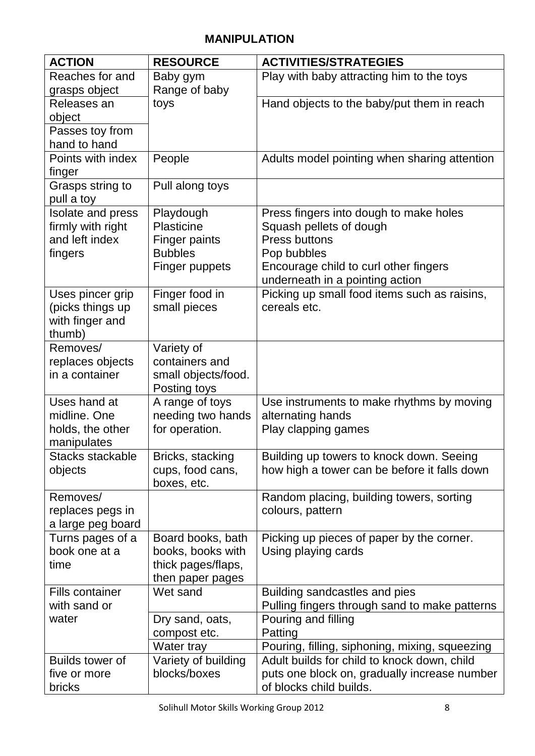#### **MANIPULATION**

| <b>ACTION</b>                          | <b>RESOURCE</b>                 | <b>ACTIVITIES/STRATEGIES</b>                                         |
|----------------------------------------|---------------------------------|----------------------------------------------------------------------|
| Reaches for and                        | Baby gym                        | Play with baby attracting him to the toys                            |
| grasps object                          | Range of baby                   |                                                                      |
| Releases an                            | toys                            | Hand objects to the baby/put them in reach                           |
| object                                 |                                 |                                                                      |
| Passes toy from                        |                                 |                                                                      |
| hand to hand                           |                                 |                                                                      |
| Points with index                      | People                          | Adults model pointing when sharing attention                         |
| finger                                 |                                 |                                                                      |
| Grasps string to<br>pull a toy         | Pull along toys                 |                                                                      |
| Isolate and press                      | Playdough                       | Press fingers into dough to make holes                               |
| firmly with right                      | Plasticine                      | Squash pellets of dough                                              |
| and left index                         | <b>Finger paints</b>            | Press buttons                                                        |
| fingers                                | <b>Bubbles</b>                  | Pop bubbles                                                          |
|                                        | <b>Finger puppets</b>           | Encourage child to curl other fingers                                |
|                                        |                                 | underneath in a pointing action                                      |
| Uses pincer grip                       | Finger food in                  | Picking up small food items such as raisins,                         |
| (picks things up                       | small pieces                    | cereals etc.                                                         |
| with finger and                        |                                 |                                                                      |
| thumb)                                 |                                 |                                                                      |
| Removes/                               | Variety of                      |                                                                      |
| replaces objects                       | containers and                  |                                                                      |
| in a container                         | small objects/food.             |                                                                      |
| Uses hand at                           | Posting toys<br>A range of toys | Use instruments to make rhythms by moving                            |
| midline. One                           | needing two hands               | alternating hands                                                    |
| holds, the other                       | for operation.                  | Play clapping games                                                  |
| manipulates                            |                                 |                                                                      |
| Stacks stackable                       | Bricks, stacking                | Building up towers to knock down. Seeing                             |
| objects                                | cups, food cans,                | how high a tower can be before it falls down                         |
|                                        | boxes, etc.                     |                                                                      |
| Removes/                               |                                 | Random placing, building towers, sorting                             |
| replaces pegs in                       |                                 | colours, pattern                                                     |
| a large peg board                      |                                 |                                                                      |
| Turns pages of a                       | Board books, bath               | Picking up pieces of paper by the corner.                            |
| book one at a                          | books, books with               | Using playing cards                                                  |
| time                                   | thick pages/flaps,              |                                                                      |
|                                        | then paper pages                |                                                                      |
| <b>Fills container</b><br>with sand or | Wet sand                        | Building sandcastles and pies                                        |
| water                                  | Dry sand, oats,                 | Pulling fingers through sand to make patterns<br>Pouring and filling |
|                                        | compost etc.                    | Patting                                                              |
|                                        | Water tray                      | Pouring, filling, siphoning, mixing, squeezing                       |
| <b>Builds tower of</b>                 | Variety of building             | Adult builds for child to knock down, child                          |
| five or more                           | blocks/boxes                    | puts one block on, gradually increase number                         |
| bricks                                 |                                 | of blocks child builds.                                              |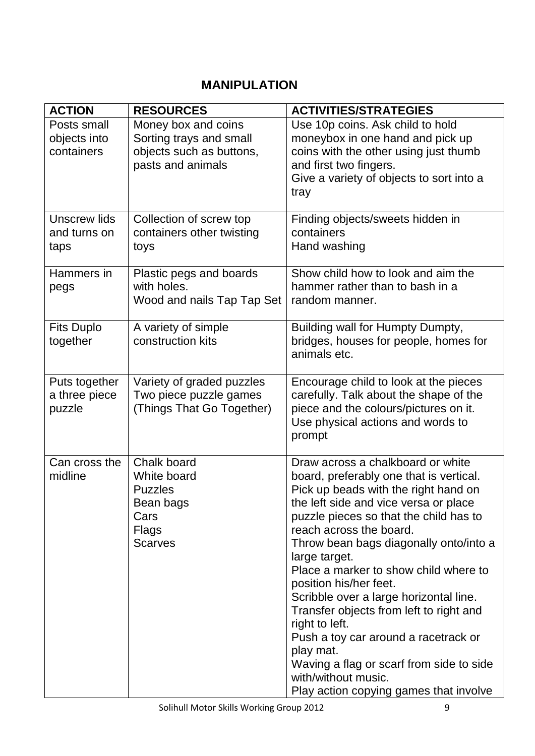#### **MANIPULATION**

| <b>ACTION</b>                             | <b>RESOURCES</b>                                                                                | <b>ACTIVITIES/STRATEGIES</b>                                                                                                                                                                                                                                                                                                                                                                                                                                                                                                                                                                                                              |
|-------------------------------------------|-------------------------------------------------------------------------------------------------|-------------------------------------------------------------------------------------------------------------------------------------------------------------------------------------------------------------------------------------------------------------------------------------------------------------------------------------------------------------------------------------------------------------------------------------------------------------------------------------------------------------------------------------------------------------------------------------------------------------------------------------------|
| Posts small<br>objects into<br>containers | Money box and coins<br>Sorting trays and small<br>objects such as buttons,<br>pasts and animals | Use 10p coins. Ask child to hold<br>moneybox in one hand and pick up<br>coins with the other using just thumb<br>and first two fingers.<br>Give a variety of objects to sort into a<br>tray                                                                                                                                                                                                                                                                                                                                                                                                                                               |
| Unscrew lids<br>and turns on<br>taps      | Collection of screw top<br>containers other twisting<br>toys                                    | Finding objects/sweets hidden in<br>containers<br>Hand washing                                                                                                                                                                                                                                                                                                                                                                                                                                                                                                                                                                            |
| Hammers in<br>pegs                        | Plastic pegs and boards<br>with holes.<br>Wood and nails Tap Tap Set                            | Show child how to look and aim the<br>hammer rather than to bash in a<br>random manner.                                                                                                                                                                                                                                                                                                                                                                                                                                                                                                                                                   |
| <b>Fits Duplo</b><br>together             | A variety of simple<br>construction kits                                                        | Building wall for Humpty Dumpty,<br>bridges, houses for people, homes for<br>animals etc.                                                                                                                                                                                                                                                                                                                                                                                                                                                                                                                                                 |
| Puts together<br>a three piece<br>puzzle  | Variety of graded puzzles<br>Two piece puzzle games<br>(Things That Go Together)                | Encourage child to look at the pieces<br>carefully. Talk about the shape of the<br>piece and the colours/pictures on it.<br>Use physical actions and words to<br>prompt                                                                                                                                                                                                                                                                                                                                                                                                                                                                   |
| Can cross the<br>midline                  | Chalk board<br>White board<br><b>Puzzles</b><br>Bean bags<br>Cars<br>Flags<br><b>Scarves</b>    | Draw across a chalkboard or white<br>board, preferably one that is vertical.<br>Pick up beads with the right hand on<br>the left side and vice versa or place<br>puzzle pieces so that the child has to<br>reach across the board.<br>Throw bean bags diagonally onto/into a<br>large target.<br>Place a marker to show child where to<br>position his/her feet.<br>Scribble over a large horizontal line.<br>Transfer objects from left to right and<br>right to left.<br>Push a toy car around a racetrack or<br>play mat.<br>Waving a flag or scarf from side to side<br>with/without music.<br>Play action copying games that involve |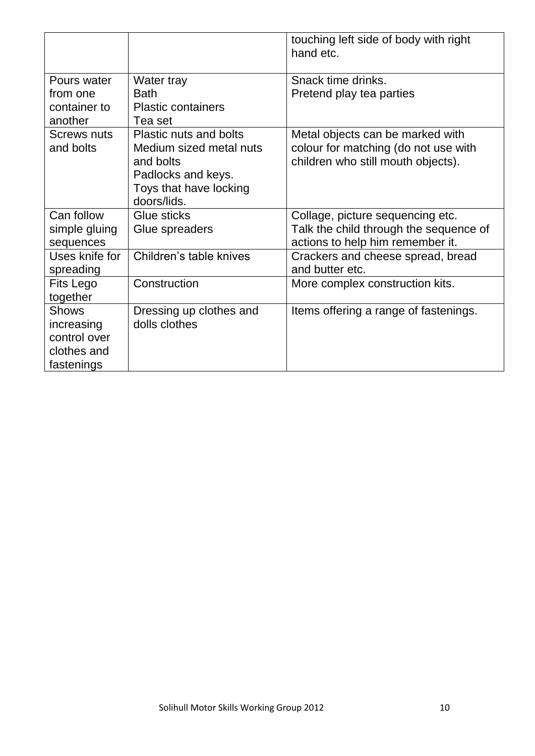|                                                                         |                                                                                                                                      | touching left side of body with right<br>hand etc.                                                             |
|-------------------------------------------------------------------------|--------------------------------------------------------------------------------------------------------------------------------------|----------------------------------------------------------------------------------------------------------------|
| Pours water<br>from one                                                 | Water tray<br><b>Bath</b>                                                                                                            | Snack time drinks.<br>Pretend play tea parties                                                                 |
| container to<br>another                                                 | <b>Plastic containers</b><br>Tea set                                                                                                 |                                                                                                                |
| <b>Screws nuts</b><br>and bolts                                         | <b>Plastic nuts and bolts</b><br>Medium sized metal nuts<br>and bolts<br>Padlocks and keys.<br>Toys that have locking<br>doors/lids. | Metal objects can be marked with<br>colour for matching (do not use with<br>children who still mouth objects). |
| Can follow<br>simple gluing<br>sequences                                | Glue sticks<br>Glue spreaders                                                                                                        | Collage, picture sequencing etc.<br>Talk the child through the sequence of<br>actions to help him remember it. |
| Uses knife for<br>spreading                                             | Children's table knives                                                                                                              | Crackers and cheese spread, bread<br>and butter etc.                                                           |
| Fits Lego<br>together                                                   | Construction                                                                                                                         | More complex construction kits.                                                                                |
| <b>Shows</b><br>increasing<br>control over<br>clothes and<br>fastenings | Dressing up clothes and<br>dolls clothes                                                                                             | Items offering a range of fastenings.                                                                          |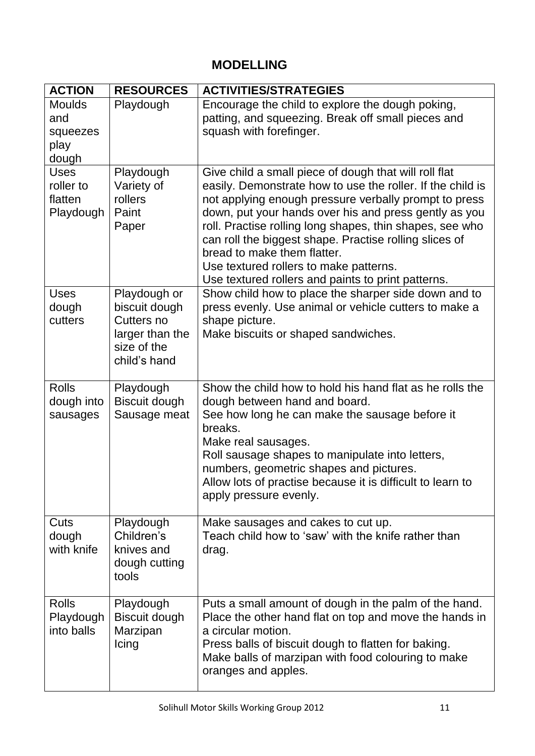## **MODELLING**

| <b>ACTION</b>                                     | <b>RESOURCES</b>                                                                              | <b>ACTIVITIES/STRATEGIES</b>                                                                                                                                                                                                                                                                                                                                                                                                                                                               |
|---------------------------------------------------|-----------------------------------------------------------------------------------------------|--------------------------------------------------------------------------------------------------------------------------------------------------------------------------------------------------------------------------------------------------------------------------------------------------------------------------------------------------------------------------------------------------------------------------------------------------------------------------------------------|
| <b>Moulds</b><br>and<br>squeezes<br>play<br>dough | Playdough                                                                                     | Encourage the child to explore the dough poking,<br>patting, and squeezing. Break off small pieces and<br>squash with forefinger.                                                                                                                                                                                                                                                                                                                                                          |
| <b>Uses</b><br>roller to<br>flatten<br>Playdough  | Playdough<br>Variety of<br>rollers<br>Paint<br>Paper                                          | Give child a small piece of dough that will roll flat<br>easily. Demonstrate how to use the roller. If the child is<br>not applying enough pressure verbally prompt to press<br>down, put your hands over his and press gently as you<br>roll. Practise rolling long shapes, thin shapes, see who<br>can roll the biggest shape. Practise rolling slices of<br>bread to make them flatter.<br>Use textured rollers to make patterns.<br>Use textured rollers and paints to print patterns. |
| <b>Uses</b><br>dough<br>cutters                   | Playdough or<br>biscuit dough<br>Cutters no<br>larger than the<br>size of the<br>child's hand | Show child how to place the sharper side down and to<br>press evenly. Use animal or vehicle cutters to make a<br>shape picture.<br>Make biscuits or shaped sandwiches.                                                                                                                                                                                                                                                                                                                     |
| <b>Rolls</b><br>dough into<br>sausages            | Playdough<br><b>Biscuit dough</b><br>Sausage meat                                             | Show the child how to hold his hand flat as he rolls the<br>dough between hand and board.<br>See how long he can make the sausage before it<br>breaks.<br>Make real sausages.<br>Roll sausage shapes to manipulate into letters,<br>numbers, geometric shapes and pictures.<br>Allow lots of practise because it is difficult to learn to<br>apply pressure evenly.                                                                                                                        |
| Cuts<br>dough<br>with knife                       | Playdough<br>Children's<br>knives and<br>dough cutting<br>tools                               | Make sausages and cakes to cut up.<br>Teach child how to 'saw' with the knife rather than<br>drag.                                                                                                                                                                                                                                                                                                                                                                                         |
| <b>Rolls</b><br>Playdough<br>into balls           | Playdough<br><b>Biscuit dough</b><br>Marzipan<br>Icing                                        | Puts a small amount of dough in the palm of the hand.<br>Place the other hand flat on top and move the hands in<br>a circular motion.<br>Press balls of biscuit dough to flatten for baking.<br>Make balls of marzipan with food colouring to make<br>oranges and apples.                                                                                                                                                                                                                  |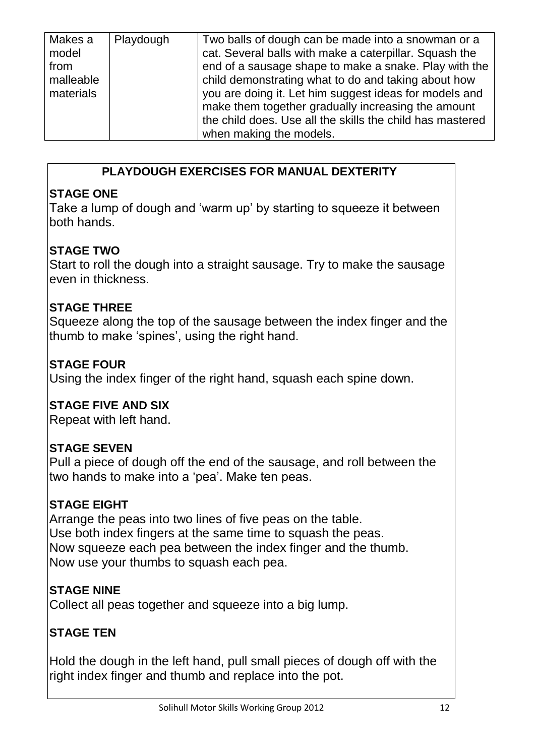| Makes a<br>model<br>from<br>malleable<br>materials | Playdough | Two balls of dough can be made into a snowman or a<br>cat. Several balls with make a caterpillar. Squash the<br>end of a sausage shape to make a snake. Play with the<br>child demonstrating what to do and taking about how<br>you are doing it. Let him suggest ideas for models and<br>make them together gradually increasing the amount<br>the child does. Use all the skills the child has mastered<br>when making the models. |
|----------------------------------------------------|-----------|--------------------------------------------------------------------------------------------------------------------------------------------------------------------------------------------------------------------------------------------------------------------------------------------------------------------------------------------------------------------------------------------------------------------------------------|
|                                                    |           |                                                                                                                                                                                                                                                                                                                                                                                                                                      |

#### **PLAYDOUGH EXERCISES FOR MANUAL DEXTERITY**

#### **STAGE ONE**

Take a lump of dough and 'warm up' by starting to squeeze it between both hands.

### **STAGE TWO**

Start to roll the dough into a straight sausage. Try to make the sausage even in thickness.

#### **STAGE THREE**

Squeeze along the top of the sausage between the index finger and the thumb to make 'spines', using the right hand.

#### **STAGE FOUR**

Using the index finger of the right hand, squash each spine down.

#### **STAGE FIVE AND SIX**

Repeat with left hand.

#### **STAGE SEVEN**

Pull a piece of dough off the end of the sausage, and roll between the two hands to make into a 'pea'. Make ten peas.

#### **STAGE EIGHT**

Arrange the peas into two lines of five peas on the table. Use both index fingers at the same time to squash the peas. Now squeeze each pea between the index finger and the thumb. Now use your thumbs to squash each pea.

#### **STAGE NINE**

Collect all peas together and squeeze into a big lump.

#### **STAGE TEN**

Hold the dough in the left hand, pull small pieces of dough off with the right index finger and thumb and replace into the pot.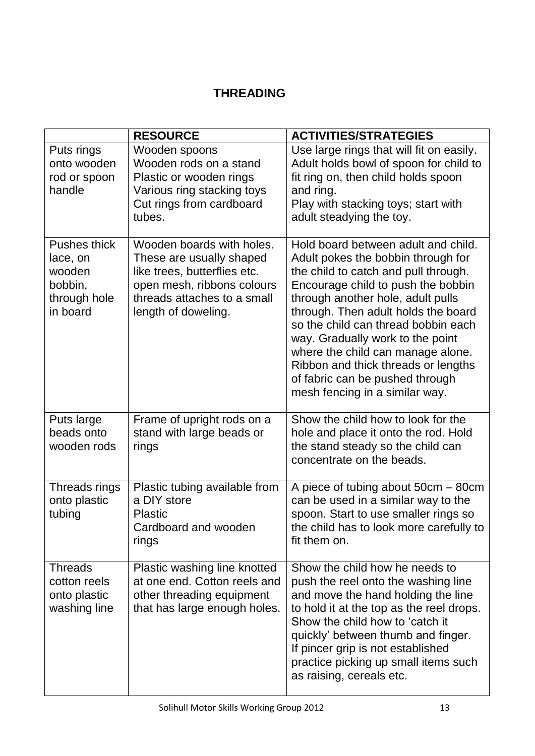#### **THREADING**

|                                                                           | <b>RESOURCE</b>                                                                                                                                                           | <b>ACTIVITIES/STRATEGIES</b>                                                                                                                                                                                                                                                                                                                                                                                                                                    |
|---------------------------------------------------------------------------|---------------------------------------------------------------------------------------------------------------------------------------------------------------------------|-----------------------------------------------------------------------------------------------------------------------------------------------------------------------------------------------------------------------------------------------------------------------------------------------------------------------------------------------------------------------------------------------------------------------------------------------------------------|
| Puts rings<br>onto wooden<br>rod or spoon<br>handle                       | Wooden spoons<br>Wooden rods on a stand<br>Plastic or wooden rings<br>Various ring stacking toys<br>Cut rings from cardboard<br>tubes.                                    | Use large rings that will fit on easily.<br>Adult holds bowl of spoon for child to<br>fit ring on, then child holds spoon<br>and ring.<br>Play with stacking toys; start with<br>adult steadying the toy.                                                                                                                                                                                                                                                       |
| Pushes thick<br>lace, on<br>wooden<br>bobbin,<br>through hole<br>in board | Wooden boards with holes.<br>These are usually shaped<br>like trees, butterflies etc.<br>open mesh, ribbons colours<br>threads attaches to a small<br>length of doweling. | Hold board between adult and child.<br>Adult pokes the bobbin through for<br>the child to catch and pull through.<br>Encourage child to push the bobbin<br>through another hole, adult pulls<br>through. Then adult holds the board<br>so the child can thread bobbin each<br>way. Gradually work to the point<br>where the child can manage alone.<br>Ribbon and thick threads or lengths<br>of fabric can be pushed through<br>mesh fencing in a similar way. |
| Puts large<br>beads onto<br>wooden rods                                   | Frame of upright rods on a<br>stand with large beads or<br>rings                                                                                                          | Show the child how to look for the<br>hole and place it onto the rod. Hold<br>the stand steady so the child can<br>concentrate on the beads.                                                                                                                                                                                                                                                                                                                    |
| Threads rings<br>onto plastic<br>tubing                                   | Plastic tubing available from<br>a DIY store<br><b>Plastic</b><br>Cardboard and wooden<br>rings                                                                           | A piece of tubing about 50cm - 80cm<br>can be used in a similar way to the<br>spoon. Start to use smaller rings so<br>the child has to look more carefully to<br>fit them on.                                                                                                                                                                                                                                                                                   |
| <b>Threads</b><br>cotton reels<br>onto plastic<br>washing line            | Plastic washing line knotted<br>at one end. Cotton reels and<br>other threading equipment<br>that has large enough holes.                                                 | Show the child how he needs to<br>push the reel onto the washing line<br>and move the hand holding the line<br>to hold it at the top as the reel drops.<br>Show the child how to 'catch it<br>quickly' between thumb and finger.<br>If pincer grip is not established<br>practice picking up small items such<br>as raising, cereals etc.                                                                                                                       |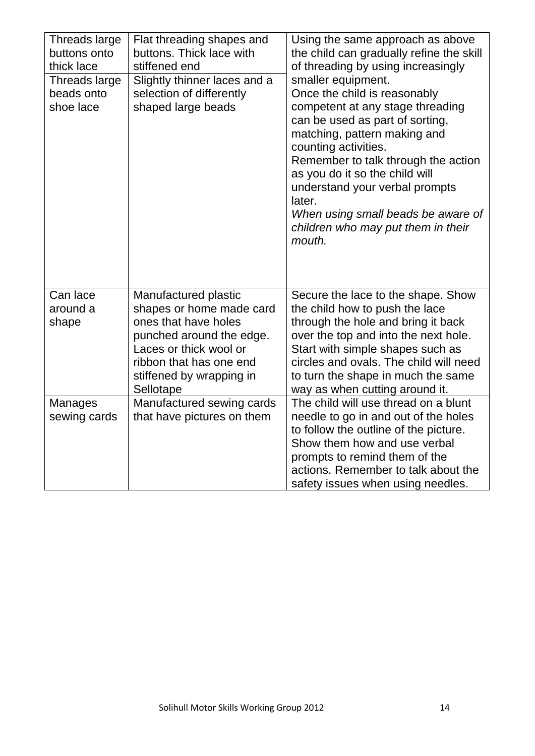| Threads large<br>buttons onto<br>thick lace<br>Threads large<br>beads onto<br>shoe lace | Flat threading shapes and<br>buttons. Thick lace with<br>stiffened end<br>Slightly thinner laces and a<br>selection of differently<br>shaped large beads                                           | Using the same approach as above<br>the child can gradually refine the skill<br>of threading by using increasingly<br>smaller equipment.<br>Once the child is reasonably<br>competent at any stage threading<br>can be used as part of sorting,<br>matching, pattern making and<br>counting activities.<br>Remember to talk through the action<br>as you do it so the child will<br>understand your verbal prompts<br>later.<br>When using small beads be aware of<br>children who may put them in their<br>mouth. |
|-----------------------------------------------------------------------------------------|----------------------------------------------------------------------------------------------------------------------------------------------------------------------------------------------------|--------------------------------------------------------------------------------------------------------------------------------------------------------------------------------------------------------------------------------------------------------------------------------------------------------------------------------------------------------------------------------------------------------------------------------------------------------------------------------------------------------------------|
| Can lace<br>around a<br>shape                                                           | Manufactured plastic<br>shapes or home made card<br>ones that have holes<br>punched around the edge.<br>Laces or thick wool or<br>ribbon that has one end<br>stiffened by wrapping in<br>Sellotape | Secure the lace to the shape. Show<br>the child how to push the lace<br>through the hole and bring it back<br>over the top and into the next hole.<br>Start with simple shapes such as<br>circles and ovals. The child will need<br>to turn the shape in much the same<br>way as when cutting around it.                                                                                                                                                                                                           |
| Manages<br>sewing cards                                                                 | Manufactured sewing cards<br>that have pictures on them                                                                                                                                            | The child will use thread on a blunt<br>needle to go in and out of the holes<br>to follow the outline of the picture.<br>Show them how and use verbal<br>prompts to remind them of the<br>actions. Remember to talk about the<br>safety issues when using needles.                                                                                                                                                                                                                                                 |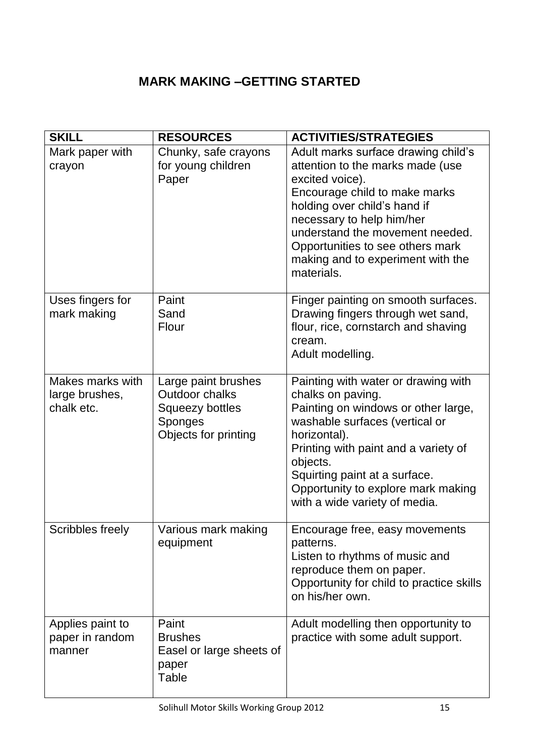## **MARK MAKING –GETTING STARTED**

| <b>SKILL</b>                                     | <b>RESOURCES</b>                                                                                          | <b>ACTIVITIES/STRATEGIES</b>                                                                                                                                                                                                                                                                                       |
|--------------------------------------------------|-----------------------------------------------------------------------------------------------------------|--------------------------------------------------------------------------------------------------------------------------------------------------------------------------------------------------------------------------------------------------------------------------------------------------------------------|
| Mark paper with<br>crayon                        | Chunky, safe crayons<br>for young children<br>Paper                                                       | Adult marks surface drawing child's<br>attention to the marks made (use<br>excited voice).<br>Encourage child to make marks<br>holding over child's hand if<br>necessary to help him/her<br>understand the movement needed.<br>Opportunities to see others mark<br>making and to experiment with the<br>materials. |
| Uses fingers for<br>mark making                  | Paint<br>Sand<br>Flour                                                                                    | Finger painting on smooth surfaces.<br>Drawing fingers through wet sand,<br>flour, rice, cornstarch and shaving<br>cream.<br>Adult modelling.                                                                                                                                                                      |
| Makes marks with<br>large brushes,<br>chalk etc. | Large paint brushes<br><b>Outdoor chalks</b><br><b>Squeezy bottles</b><br>Sponges<br>Objects for printing | Painting with water or drawing with<br>chalks on paving.<br>Painting on windows or other large,<br>washable surfaces (vertical or<br>horizontal).<br>Printing with paint and a variety of<br>objects.<br>Squirting paint at a surface.<br>Opportunity to explore mark making<br>with a wide variety of media.      |
| Scribbles freely                                 | Various mark making<br>equipment                                                                          | Encourage free, easy movements<br>patterns.<br>Listen to rhythms of music and<br>reproduce them on paper.<br>Opportunity for child to practice skills<br>on his/her own.                                                                                                                                           |
| Applies paint to<br>paper in random<br>manner    | Paint<br><b>Brushes</b><br>Easel or large sheets of<br>paper<br><b>Table</b>                              | Adult modelling then opportunity to<br>practice with some adult support.                                                                                                                                                                                                                                           |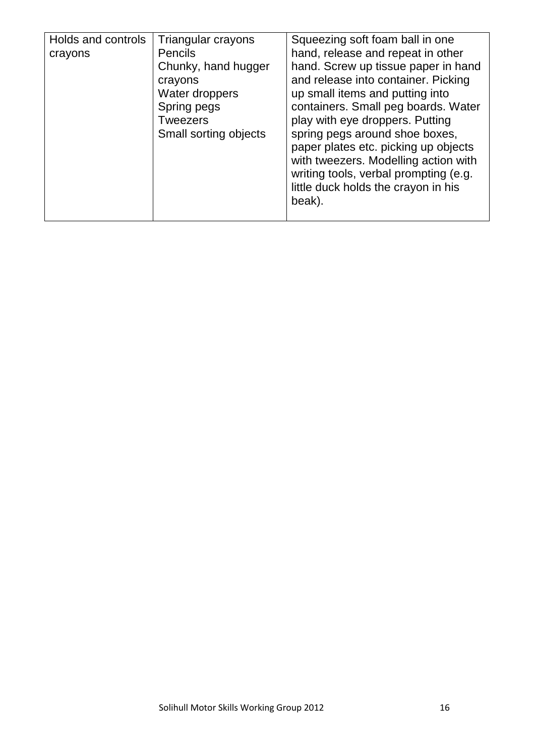| Holds and controls<br>crayons | Triangular crayons<br><b>Pencils</b><br>Chunky, hand hugger<br>crayons<br>Water droppers<br>Spring pegs<br><b>Tweezers</b><br>Small sorting objects | Squeezing soft foam ball in one<br>hand, release and repeat in other<br>hand. Screw up tissue paper in hand<br>and release into container. Picking<br>up small items and putting into<br>containers. Small peg boards. Water<br>play with eye droppers. Putting<br>spring pegs around shoe boxes,<br>paper plates etc. picking up objects<br>with tweezers. Modelling action with<br>writing tools, verbal prompting (e.g.<br>little duck holds the crayon in his |
|-------------------------------|-----------------------------------------------------------------------------------------------------------------------------------------------------|-------------------------------------------------------------------------------------------------------------------------------------------------------------------------------------------------------------------------------------------------------------------------------------------------------------------------------------------------------------------------------------------------------------------------------------------------------------------|
|                               |                                                                                                                                                     | beak).                                                                                                                                                                                                                                                                                                                                                                                                                                                            |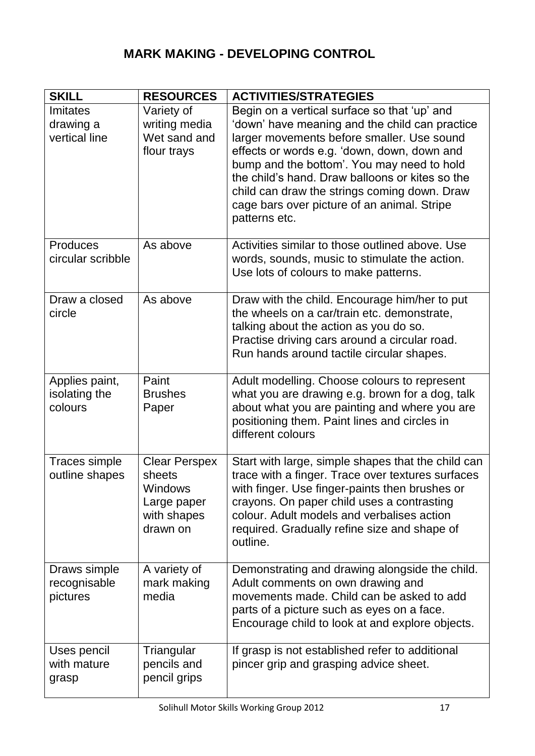# **MARK MAKING - DEVELOPING CONTROL**

| <b>SKILL</b>      | <b>RESOURCES</b>     | <b>ACTIVITIES/STRATEGIES</b>                                                                |
|-------------------|----------------------|---------------------------------------------------------------------------------------------|
| Imitates          | Variety of           | Begin on a vertical surface so that 'up' and                                                |
| drawing a         | writing media        | 'down' have meaning and the child can practice                                              |
| vertical line     | Wet sand and         | larger movements before smaller. Use sound                                                  |
|                   | flour trays          | effects or words e.g. 'down, down, down and                                                 |
|                   |                      | bump and the bottom'. You may need to hold                                                  |
|                   |                      | the child's hand. Draw balloons or kites so the                                             |
|                   |                      | child can draw the strings coming down. Draw<br>cage bars over picture of an animal. Stripe |
|                   |                      | patterns etc.                                                                               |
|                   |                      |                                                                                             |
| Produces          | As above             | Activities similar to those outlined above. Use                                             |
| circular scribble |                      | words, sounds, music to stimulate the action.                                               |
|                   |                      | Use lots of colours to make patterns.                                                       |
|                   |                      |                                                                                             |
| Draw a closed     | As above             | Draw with the child. Encourage him/her to put                                               |
| circle            |                      | the wheels on a car/train etc. demonstrate,                                                 |
|                   |                      | talking about the action as you do so.<br>Practise driving cars around a circular road.     |
|                   |                      | Run hands around tactile circular shapes.                                                   |
|                   |                      |                                                                                             |
| Applies paint,    | Paint                | Adult modelling. Choose colours to represent                                                |
| isolating the     | <b>Brushes</b>       | what you are drawing e.g. brown for a dog, talk                                             |
| colours           | Paper                | about what you are painting and where you are                                               |
|                   |                      | positioning them. Paint lines and circles in<br>different colours                           |
|                   |                      |                                                                                             |
| Traces simple     | <b>Clear Perspex</b> | Start with large, simple shapes that the child can                                          |
| outline shapes    | sheets               | trace with a finger. Trace over textures surfaces                                           |
|                   | Windows              | with finger. Use finger-paints then brushes or                                              |
|                   | Large paper          | crayons. On paper child uses a contrasting                                                  |
|                   | with shapes          | colour. Adult models and verbalises action                                                  |
|                   | drawn on             | required. Gradually refine size and shape of<br>outline.                                    |
|                   |                      |                                                                                             |
| Draws simple      | A variety of         | Demonstrating and drawing alongside the child.                                              |
| recognisable      | mark making          | Adult comments on own drawing and                                                           |
| pictures          | media                | movements made. Child can be asked to add                                                   |
|                   |                      | parts of a picture such as eyes on a face.                                                  |
|                   |                      | Encourage child to look at and explore objects.                                             |
| Uses pencil       | Triangular           | If grasp is not established refer to additional                                             |
| with mature       | pencils and          | pincer grip and grasping advice sheet.                                                      |
| grasp             | pencil grips         |                                                                                             |
|                   |                      |                                                                                             |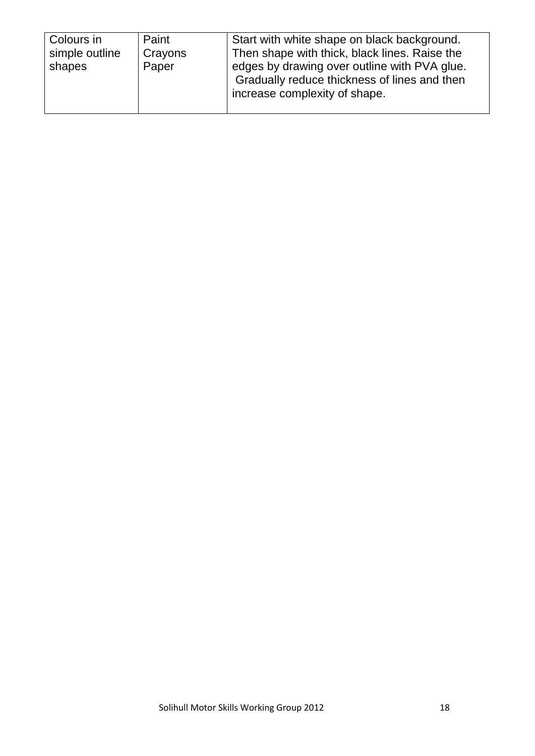| Paint<br>Colours in<br>simple outline<br>Crayons<br>Paper<br>shapes | Start with white shape on black background.<br>Then shape with thick, black lines. Raise the<br>edges by drawing over outline with PVA glue.<br>Gradually reduce thickness of lines and then<br>increase complexity of shape. |
|---------------------------------------------------------------------|-------------------------------------------------------------------------------------------------------------------------------------------------------------------------------------------------------------------------------|
|---------------------------------------------------------------------|-------------------------------------------------------------------------------------------------------------------------------------------------------------------------------------------------------------------------------|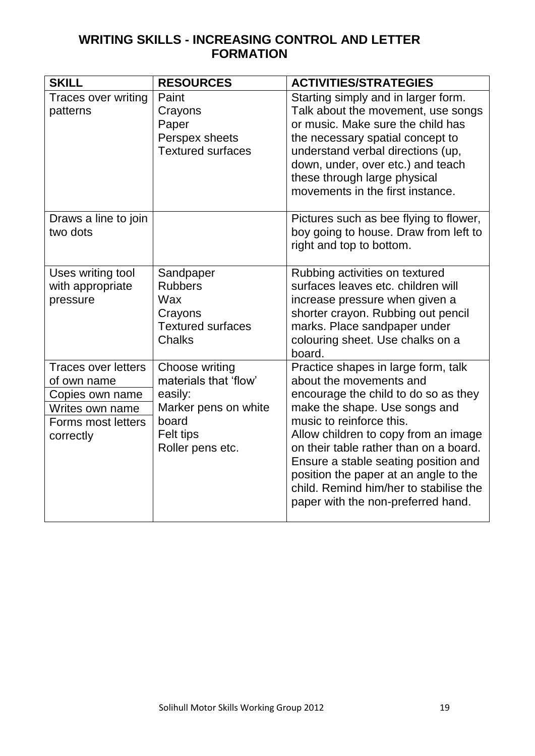#### **WRITING SKILLS - INCREASING CONTROL AND LETTER FORMATION**

| <b>SKILL</b>                                                                                                       | <b>RESOURCES</b>                                                                                                     | <b>ACTIVITIES/STRATEGIES</b>                                                                                                                                                                                                                                                                                                                                                                                           |
|--------------------------------------------------------------------------------------------------------------------|----------------------------------------------------------------------------------------------------------------------|------------------------------------------------------------------------------------------------------------------------------------------------------------------------------------------------------------------------------------------------------------------------------------------------------------------------------------------------------------------------------------------------------------------------|
| <b>Traces over writing</b><br>patterns                                                                             | Paint<br>Crayons<br>Paper<br>Perspex sheets<br><b>Textured surfaces</b>                                              | Starting simply and in larger form.<br>Talk about the movement, use songs<br>or music. Make sure the child has<br>the necessary spatial concept to<br>understand verbal directions (up,<br>down, under, over etc.) and teach<br>these through large physical<br>movements in the first instance.                                                                                                                       |
| Draws a line to join<br>two dots                                                                                   |                                                                                                                      | Pictures such as bee flying to flower,<br>boy going to house. Draw from left to<br>right and top to bottom.                                                                                                                                                                                                                                                                                                            |
| Uses writing tool<br>with appropriate<br>pressure                                                                  | Sandpaper<br><b>Rubbers</b><br>Wax<br>Crayons<br><b>Textured surfaces</b><br><b>Chalks</b>                           | Rubbing activities on textured<br>surfaces leaves etc. children will<br>increase pressure when given a<br>shorter crayon. Rubbing out pencil<br>marks. Place sandpaper under<br>colouring sheet. Use chalks on a<br>board.                                                                                                                                                                                             |
| <b>Traces over letters</b><br>of own name<br>Copies own name<br>Writes own name<br>Forms most letters<br>correctly | Choose writing<br>materials that 'flow'<br>easily:<br>Marker pens on white<br>board<br>Felt tips<br>Roller pens etc. | Practice shapes in large form, talk<br>about the movements and<br>encourage the child to do so as they<br>make the shape. Use songs and<br>music to reinforce this.<br>Allow children to copy from an image<br>on their table rather than on a board.<br>Ensure a stable seating position and<br>position the paper at an angle to the<br>child. Remind him/her to stabilise the<br>paper with the non-preferred hand. |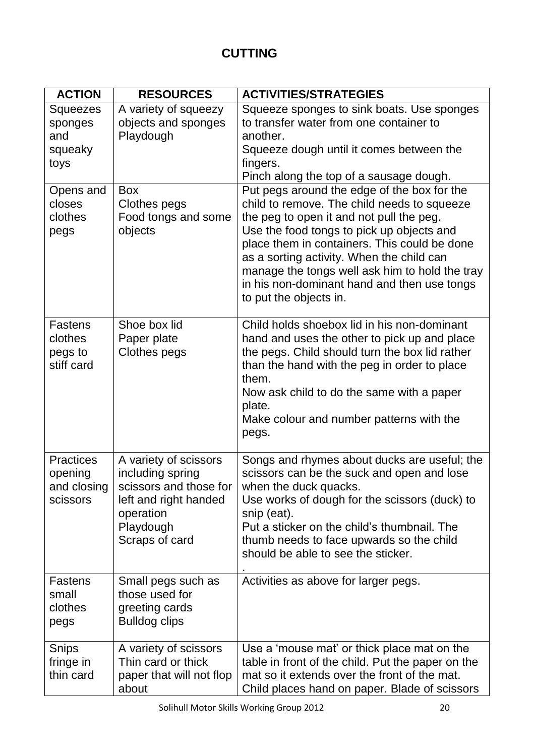| <b>ACTION</b>                                          | <b>RESOURCES</b>                                                                                                                         | <b>ACTIVITIES/STRATEGIES</b>                                                                                                                                                                                                                                                                                                                                                                                |
|--------------------------------------------------------|------------------------------------------------------------------------------------------------------------------------------------------|-------------------------------------------------------------------------------------------------------------------------------------------------------------------------------------------------------------------------------------------------------------------------------------------------------------------------------------------------------------------------------------------------------------|
| Squeezes<br>sponges<br>and<br>squeaky<br>toys          | A variety of squeezy<br>objects and sponges<br>Playdough                                                                                 | Squeeze sponges to sink boats. Use sponges<br>to transfer water from one container to<br>another.<br>Squeeze dough until it comes between the<br>fingers.<br>Pinch along the top of a sausage dough.                                                                                                                                                                                                        |
| Opens and<br>closes<br>clothes<br>pegs                 | <b>Box</b><br>Clothes pegs<br>Food tongs and some<br>objects                                                                             | Put pegs around the edge of the box for the<br>child to remove. The child needs to squeeze<br>the peg to open it and not pull the peg.<br>Use the food tongs to pick up objects and<br>place them in containers. This could be done<br>as a sorting activity. When the child can<br>manage the tongs well ask him to hold the tray<br>in his non-dominant hand and then use tongs<br>to put the objects in. |
| Fastens<br>clothes<br>pegs to<br>stiff card            | Shoe box lid<br>Paper plate<br>Clothes pegs                                                                                              | Child holds shoebox lid in his non-dominant<br>hand and uses the other to pick up and place<br>the pegs. Child should turn the box lid rather<br>than the hand with the peg in order to place<br>them.<br>Now ask child to do the same with a paper<br>plate.<br>Make colour and number patterns with the<br>pegs.                                                                                          |
| <b>Practices</b><br>opening<br>and closing<br>scissors | A variety of scissors<br>including spring<br>scissors and those for<br>left and right handed<br>operation<br>Playdough<br>Scraps of card | Songs and rhymes about ducks are useful; the<br>scissors can be the suck and open and lose<br>when the duck quacks.<br>Use works of dough for the scissors (duck) to<br>snip (eat).<br>Put a sticker on the child's thumbnail. The<br>thumb needs to face upwards so the child<br>should be able to see the sticker.                                                                                        |
| <b>Fastens</b><br>small<br>clothes<br>pegs             | Small pegs such as<br>those used for<br>greeting cards<br><b>Bulldog clips</b>                                                           | Activities as above for larger pegs.                                                                                                                                                                                                                                                                                                                                                                        |
| Snips<br>fringe in<br>thin card                        | A variety of scissors<br>Thin card or thick<br>paper that will not flop<br>about                                                         | Use a 'mouse mat' or thick place mat on the<br>table in front of the child. Put the paper on the<br>mat so it extends over the front of the mat.<br>Child places hand on paper. Blade of scissors                                                                                                                                                                                                           |